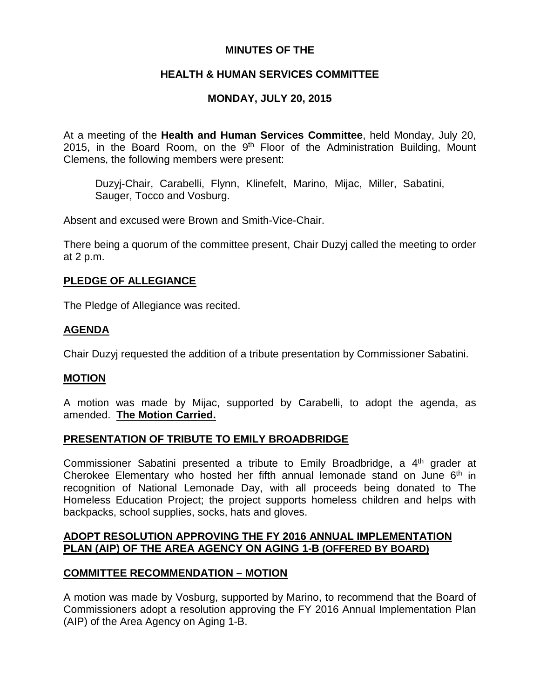# **MINUTES OF THE**

# **HEALTH & HUMAN SERVICES COMMITTEE**

# **MONDAY, JULY 20, 2015**

At a meeting of the **Health and Human Services Committee**, held Monday, July 20, 2015, in the Board Room, on the  $9<sup>th</sup>$  Floor of the Administration Building, Mount Clemens, the following members were present:

Duzyj-Chair, Carabelli, Flynn, Klinefelt, Marino, Mijac, Miller, Sabatini, Sauger, Tocco and Vosburg.

Absent and excused were Brown and Smith-Vice-Chair.

There being a quorum of the committee present, Chair Duzyj called the meeting to order at 2 p.m.

### **PLEDGE OF ALLEGIANCE**

The Pledge of Allegiance was recited.

# **AGENDA**

Chair Duzyj requested the addition of a tribute presentation by Commissioner Sabatini.

# **MOTION**

A motion was made by Mijac, supported by Carabelli, to adopt the agenda, as amended. **The Motion Carried.**

### **PRESENTATION OF TRIBUTE TO EMILY BROADBRIDGE**

Commissioner Sabatini presented a tribute to Emily Broadbridge, a 4<sup>th</sup> grader at Cherokee Elementary who hosted her fifth annual lemonade stand on June  $6<sup>th</sup>$  in recognition of National Lemonade Day, with all proceeds being donated to The Homeless Education Project; the project supports homeless children and helps with backpacks, school supplies, socks, hats and gloves.

# **ADOPT RESOLUTION APPROVING THE FY 2016 ANNUAL IMPLEMENTATION PLAN (AIP) OF THE AREA AGENCY ON AGING 1-B (OFFERED BY BOARD)**

# **COMMITTEE RECOMMENDATION – MOTION**

A motion was made by Vosburg, supported by Marino, to recommend that the Board of Commissioners adopt a resolution approving the FY 2016 Annual Implementation Plan (AIP) of the Area Agency on Aging 1-B.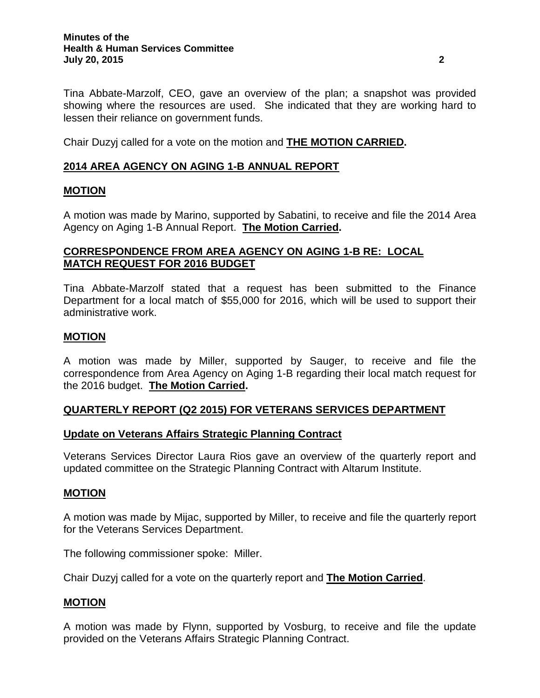Tina Abbate-Marzolf, CEO, gave an overview of the plan; a snapshot was provided showing where the resources are used. She indicated that they are working hard to lessen their reliance on government funds.

Chair Duzyj called for a vote on the motion and **THE MOTION CARRIED.**

# **2014 AREA AGENCY ON AGING 1-B ANNUAL REPORT**

### **MOTION**

A motion was made by Marino, supported by Sabatini, to receive and file the 2014 Area Agency on Aging 1-B Annual Report. **The Motion Carried.**

# **CORRESPONDENCE FROM AREA AGENCY ON AGING 1-B RE: LOCAL MATCH REQUEST FOR 2016 BUDGET**

Tina Abbate-Marzolf stated that a request has been submitted to the Finance Department for a local match of \$55,000 for 2016, which will be used to support their administrative work.

### **MOTION**

A motion was made by Miller, supported by Sauger, to receive and file the correspondence from Area Agency on Aging 1-B regarding their local match request for the 2016 budget. **The Motion Carried.**

# **QUARTERLY REPORT (Q2 2015) FOR VETERANS SERVICES DEPARTMENT**

### **Update on Veterans Affairs Strategic Planning Contract**

Veterans Services Director Laura Rios gave an overview of the quarterly report and updated committee on the Strategic Planning Contract with Altarum Institute.

### **MOTION**

A motion was made by Mijac, supported by Miller, to receive and file the quarterly report for the Veterans Services Department.

The following commissioner spoke: Miller.

Chair Duzyj called for a vote on the quarterly report and **The Motion Carried**.

### **MOTION**

A motion was made by Flynn, supported by Vosburg, to receive and file the update provided on the Veterans Affairs Strategic Planning Contract.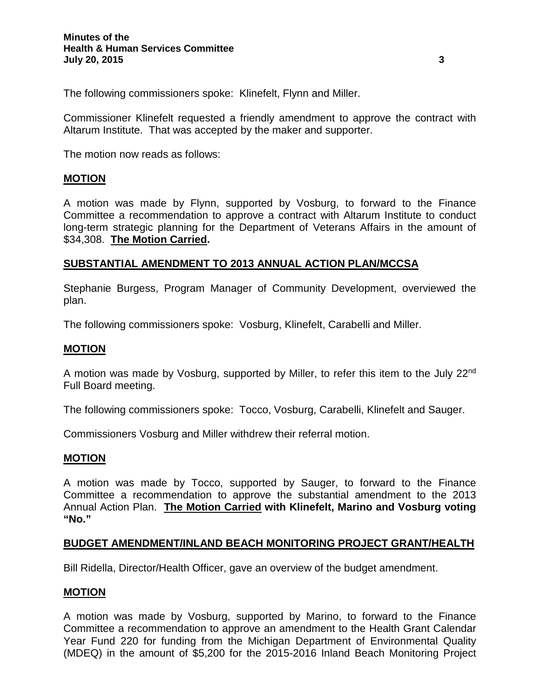The following commissioners spoke: Klinefelt, Flynn and Miller.

Commissioner Klinefelt requested a friendly amendment to approve the contract with Altarum Institute. That was accepted by the maker and supporter.

The motion now reads as follows:

### **MOTION**

A motion was made by Flynn, supported by Vosburg, to forward to the Finance Committee a recommendation to approve a contract with Altarum Institute to conduct long-term strategic planning for the Department of Veterans Affairs in the amount of \$34,308. **The Motion Carried.**

### **SUBSTANTIAL AMENDMENT TO 2013 ANNUAL ACTION PLAN/MCCSA**

Stephanie Burgess, Program Manager of Community Development, overviewed the plan.

The following commissioners spoke: Vosburg, Klinefelt, Carabelli and Miller.

### **MOTION**

A motion was made by Vosburg, supported by Miller, to refer this item to the July 22nd Full Board meeting.

The following commissioners spoke: Tocco, Vosburg, Carabelli, Klinefelt and Sauger.

Commissioners Vosburg and Miller withdrew their referral motion.

### **MOTION**

A motion was made by Tocco, supported by Sauger, to forward to the Finance Committee a recommendation to approve the substantial amendment to the 2013 Annual Action Plan. **The Motion Carried with Klinefelt, Marino and Vosburg voting "No."**

### **BUDGET AMENDMENT/INLAND BEACH MONITORING PROJECT GRANT/HEALTH**

Bill Ridella, Director/Health Officer, gave an overview of the budget amendment.

### **MOTION**

A motion was made by Vosburg, supported by Marino, to forward to the Finance Committee a recommendation to approve an amendment to the Health Grant Calendar Year Fund 220 for funding from the Michigan Department of Environmental Quality (MDEQ) in the amount of \$5,200 for the 2015-2016 Inland Beach Monitoring Project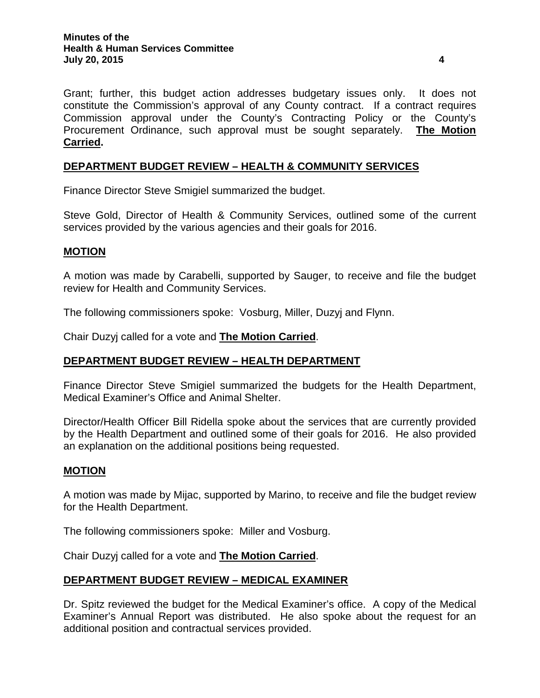Grant; further, this budget action addresses budgetary issues only. It does not constitute the Commission's approval of any County contract. If a contract requires Commission approval under the County's Contracting Policy or the County's Procurement Ordinance, such approval must be sought separately. **The Motion Carried.**

# **DEPARTMENT BUDGET REVIEW – HEALTH & COMMUNITY SERVICES**

Finance Director Steve Smigiel summarized the budget.

Steve Gold, Director of Health & Community Services, outlined some of the current services provided by the various agencies and their goals for 2016.

### **MOTION**

A motion was made by Carabelli, supported by Sauger, to receive and file the budget review for Health and Community Services.

The following commissioners spoke: Vosburg, Miller, Duzyj and Flynn.

Chair Duzyj called for a vote and **The Motion Carried**.

### **DEPARTMENT BUDGET REVIEW – HEALTH DEPARTMENT**

Finance Director Steve Smigiel summarized the budgets for the Health Department, Medical Examiner's Office and Animal Shelter.

Director/Health Officer Bill Ridella spoke about the services that are currently provided by the Health Department and outlined some of their goals for 2016. He also provided an explanation on the additional positions being requested.

### **MOTION**

A motion was made by Mijac, supported by Marino, to receive and file the budget review for the Health Department.

The following commissioners spoke: Miller and Vosburg.

Chair Duzyj called for a vote and **The Motion Carried**.

### **DEPARTMENT BUDGET REVIEW – MEDICAL EXAMINER**

Dr. Spitz reviewed the budget for the Medical Examiner's office. A copy of the Medical Examiner's Annual Report was distributed. He also spoke about the request for an additional position and contractual services provided.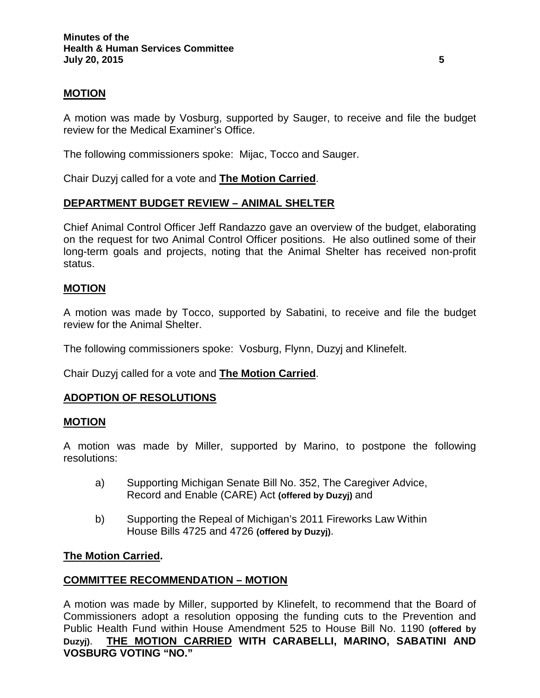### **MOTION**

A motion was made by Vosburg, supported by Sauger, to receive and file the budget review for the Medical Examiner's Office.

The following commissioners spoke: Mijac, Tocco and Sauger.

Chair Duzyj called for a vote and **The Motion Carried**.

# **DEPARTMENT BUDGET REVIEW – ANIMAL SHELTER**

Chief Animal Control Officer Jeff Randazzo gave an overview of the budget, elaborating on the request for two Animal Control Officer positions. He also outlined some of their long-term goals and projects, noting that the Animal Shelter has received non-profit status.

### **MOTION**

A motion was made by Tocco, supported by Sabatini, to receive and file the budget review for the Animal Shelter.

The following commissioners spoke: Vosburg, Flynn, Duzyj and Klinefelt.

Chair Duzyj called for a vote and **The Motion Carried**.

### **ADOPTION OF RESOLUTIONS**

#### **MOTION**

A motion was made by Miller, supported by Marino, to postpone the following resolutions:

- a) Supporting Michigan Senate Bill No. 352, The Caregiver Advice, Record and Enable (CARE) Act **(offered by Duzyj)** and
- b) Supporting the Repeal of Michigan's 2011 Fireworks Law Within House Bills 4725 and 4726 **(offered by Duzyj)**.

### **The Motion Carried.**

### **COMMITTEE RECOMMENDATION – MOTION**

A motion was made by Miller, supported by Klinefelt, to recommend that the Board of Commissioners adopt a resolution opposing the funding cuts to the Prevention and Public Health Fund within House Amendment 525 to House Bill No. 1190 **(offered by Duzyj)**. **THE MOTION CARRIED WITH CARABELLI, MARINO, SABATINI AND VOSBURG VOTING "NO."**